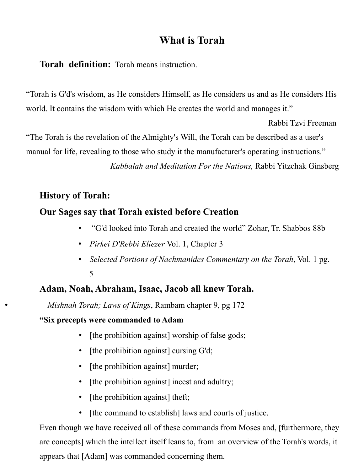# **What is Torah**

**Torah definition:** Torah means instruction.

"Torah is G'd's wisdom, as He considers Himself, as He considers us and as He considers His world. It contains the wisdom with which He creates the world and manages it."

Rabbi Tzvi Freeman

"The Torah is the revelation of the Almighty's Will, the Torah can be described as a user's manual for life, revealing to those who study it the manufacturer's operating instructions." *Kabbalah and Meditation For the Nations,* Rabbi Yitzchak Ginsberg

# **History of Torah:**

# **Our Sages say that Torah existed before Creation**

- "G'd looked into Torah and created the world" Zohar, Tr. Shabbos 88b
- *Pirkei D'Rebbi Eliezer* Vol. 1, Chapter 3
- *Selected Portions of Nachmanides Commentary on the Torah*, Vol. 1 pg. 5

# **Adam, Noah, Abraham, Isaac, Jacob all knew Torah.**

• *Mishnah Torah; Laws of Kings*, Rambam chapter 9, pg 172

#### **"Six precepts were commanded to Adam**

- [the prohibition against] worship of false gods;
- [the prohibition against] cursing G'd;
- [the prohibition against] murder;
- [the prohibition against] incest and adultry;
- [the prohibition against] theft;
- [the command to establish] laws and courts of justice.

Even though we have received all of these commands from Moses and, [furthermore, they are concepts] which the intellect itself leans to, from an overview of the Torah's words, it appears that [Adam] was commanded concerning them.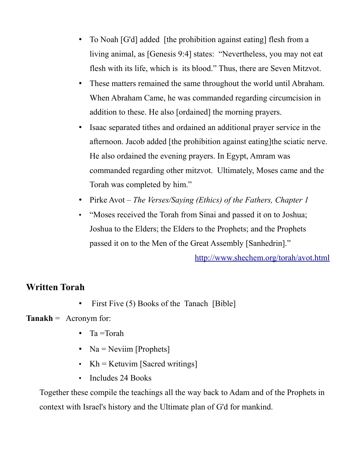- To Noah [G'd] added [the prohibition against eating] flesh from a living animal, as [Genesis 9:4] states: "Nevertheless, you may not eat flesh with its life, which is its blood." Thus, there are Seven Mitzvot.
- These matters remained the same throughout the world until Abraham. When Abraham Came, he was commanded regarding circumcision in addition to these. He also [ordained] the morning prayers.
- Isaac separated tithes and ordained an additional prayer service in the afternoon. Jacob added [the prohibition against eating]the sciatic nerve. He also ordained the evening prayers. In Egypt, Amram was commanded regarding other mitzvot. Ultimately, Moses came and the Torah was completed by him."
- Pirke Avot *The Verses/Saying (Ethics) of the Fathers, Chapter 1*
- "Moses received the Torah from Sinai and passed it on to Joshua; Joshua to the Elders; the Elders to the Prophets; and the Prophets passed it on to the Men of the Great Assembly [Sanhedrin]."

<http://www.shechem.org/torah/avot.html>

#### **Written Torah**

• First Five (5) Books of the Tanach [Bible]

#### **Tanakh** = Acronym for:

- Ta =Torah
- Na = Neviim [Prophets]
- Kh = Ketuvim [Sacred writings]
- Includes 24 Books

Together these compile the teachings all the way back to Adam and of the Prophets in context with Israel's history and the Ultimate plan of G'd for mankind.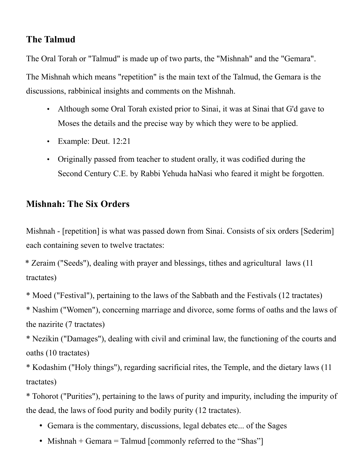### **The Talmud**

The Oral Torah or "Talmud" is made up of two parts, the "Mishnah" and the "Gemara".

The Mishnah which means "repetition" is the main text of the Talmud, the Gemara is the discussions, rabbinical insights and comments on the Mishnah.

- Although some Oral Torah existed prior to Sinai, it was at Sinai that G'd gave to Moses the details and the precise way by which they were to be applied.
- Example: Deut. 12:21
- Originally passed from teacher to student orally, it was codified during the Second Century C.E. by Rabbi Yehuda haNasi who feared it might be forgotten.

### **Mishnah: The Six Orders**

Mishnah - [repetition] is what was passed down from Sinai. Consists of six orders [Sederim] each containing seven to twelve tractates:

\* Zeraim ("Seeds"), dealing with prayer and blessings, tithes and agricultural laws (11 tractates)

\* Moed ("Festival"), pertaining to the laws of the Sabbath and the Festivals (12 tractates)

\* Nashim ("Women"), concerning marriage and divorce, some forms of oaths and the laws of the nazirite (7 tractates)

\* Nezikin ("Damages"), dealing with civil and criminal law, the functioning of the courts and oaths (10 tractates)

\* Kodashim ("Holy things"), regarding sacrificial rites, the Temple, and the dietary laws (11 tractates)

\* Tohorot ("Purities"), pertaining to the laws of purity and impurity, including the impurity of the dead, the laws of food purity and bodily purity (12 tractates).

- Gemara is the commentary, discussions, legal debates etc... of the Sages
- Mishnah + Gemara = Talmud [commonly referred to the "Shas"]